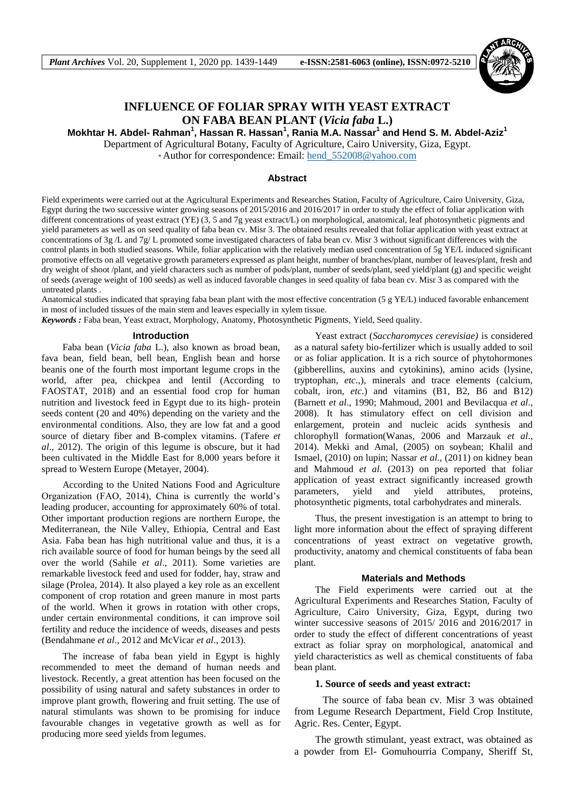

# **INFLUENCE OF FOLIAR SPRAY WITH YEAST EXTRACT ON FABA BEAN PLANT (***Vicia faba* **L.)**

**Mokhtar H. Abdel- Rahman<sup>1</sup> , Hassan R. Hassan<sup>1</sup> , Rania M.A. Nassar<sup>1</sup> and Hend S. M. Abdel-Aziz<sup>1</sup>**

Department of Agricultural Botany, Faculty of Agriculture, Cairo University, Giza, Egypt.

\* Author for correspondence: Email: [hend\\_552008@yahoo.com](mailto:hend_552008@yahoo.com)

### **Abstract**

Field experiments were carried out at the Agricultural Experiments and Researches Station, Faculty of Agriculture, Cairo University, Giza, Egypt during the two successive winter growing seasons of 2015/2016 and 2016/2017 in order to study the effect of foliar application with different concentrations of yeast extract (YE) (3, 5 and 7g yeast extract/L) on morphological, anatomical, leaf photosynthetic pigments and yield parameters as well as on seed quality of faba bean cv. Misr 3. The obtained results revealed that foliar application with yeast extract at concentrations of 3g /L and 7g/ L promoted some investigated characters of faba bean cv. Misr 3 without significant differences with the control plants in both studied seasons. While, foliar application with the relatively median used concentration of 5g YE/L induced significant promotive effects on all vegetative growth parameters expressed as plant height, number of branches/plant, number of leaves/plant, fresh and dry weight of shoot /plant, and yield characters such as number of pods/plant, number of seeds/plant, seed yield/plant (g) and specific weight of seeds (average weight of 100 seeds) as well as induced favorable changes in seed quality of faba bean cv. Misr 3 as compared with the untreated plants .

Anatomical studies indicated that spraying faba bean plant with the most effective concentration (5 g YE/L) induced favorable enhancement in most of included tissues of the main stem and leaves especially in xylem tissue.

*Keywords :* Faba bean, Yeast extract, Morphology, Anatomy, Photosynthetic Pigments, Yield, Seed quality.

#### **Introduction**

Faba bean (*Vicia faba* L.), also known as broad bean, fava bean, field bean, bell bean, English bean and horse beanis one of the fourth most important legume crops in the world, after pea, chickpea and lentil (According to FAOSTAT, 2018) and an essential food crop for human nutrition and livestock feed in Egypt due to its high- protein seeds content (20 and 40%) depending on the variety and the environmental conditions. Also, they are low fat and a good source of dietary fiber and B-complex vitamins. (Tafere *et al*., 2012). The origin of this legume is obscure, but it had been cultivated in the Middle East for 8,000 years before it spread to Western Europe (Metayer, 2004).

According to the United Nations Food and Agriculture Organization (FAO, 2014), China is currently the world's leading producer, accounting for approximately 60% of total. Other important production regions are northern Europe, the Mediterranean, the Nile Valley, Ethiopia, Central and East Asia. Faba bean has high nutritional value and thus, it is a rich available source of food for human beings by the seed all over the world (Sahile *et al*., 2011). Some varieties are remarkable livestock feed and used for fodder, hay, straw and silage (Prolea, 2014). It also played a key role as an excellent component of crop rotation and green manure in most parts of the world. When it grows in rotation with other crops, under certain environmental conditions, it can improve soil fertility and reduce the incidence of weeds, diseases and pests (Bendahmane *et al*., 2012 and McVicar *et al*., 2013).

The increase of faba bean yield in Egypt is highly recommended to meet the demand of human needs and livestock. Recently, a great attention has been focused on the possibility of using natural and safety substances in order to improve plant growth, flowering and fruit setting. The use of natural stimulants was shown to be promising for induce favourable changes in vegetative growth as well as for producing more seed yields from legumes.

Yeast extract (*Saccharomyces cerevisiae)* is considered as a natural safety bio-fertilizer which is usually added to soil or as foliar application. It is a rich source of phytohormones (gibberellins, auxins and cytokinins), amino acids (lysine, tryptophan, *etc*.,), minerals and trace elements (calcium, cobalt, iron, *etc*.) and vitamins (B1, B2, B6 and B12) (Barnett *et al*., 1990; Mahmoud, 2001 and Bevilacqua *et al*., 2008). It has stimulatory effect on cell division and enlargement, protein and nucleic acids synthesis and chlorophyll formation(Wanas, 2006 and Marzauk *et al*., 2014). Mekki and Amal, (2005) on soybean; Khalil and Ismael, (2010) on lupin; Nassar *et al*., (2011) on kidney bean and Mahmoud *et al*. (2013) on pea reported that foliar application of yeast extract significantly increased growth parameters, yield and yield attributes, proteins, photosynthetic pigments, total carbohydrates and minerals.

Thus, the present investigation is an attempt to bring to light more information about the effect of spraying different concentrations of yeast extract on vegetative growth, productivity, anatomy and chemical constituents of faba bean plant.

#### **Materials and Methods**

The Field experiments were carried out at the Agricultural Experiments and Researches Station, Faculty of Agriculture, Cairo University, Giza, Egypt, during two winter successive seasons of 2015/ 2016 and 2016/2017 in order to study the effect of different concentrations of yeast extract as foliar spray on morphological, anatomical and yield characteristics as well as chemical constituents of faba bean plant.

#### **1. Source of seeds and yeast extract:**

 The source of faba bean cv. Misr 3 was obtained from Legume Research Department, Field Crop Institute, Agric. Res. Center, Egypt.

The growth stimulant, yeast extract, was obtained as a powder from El- Gomuhourria Company, Sheriff St,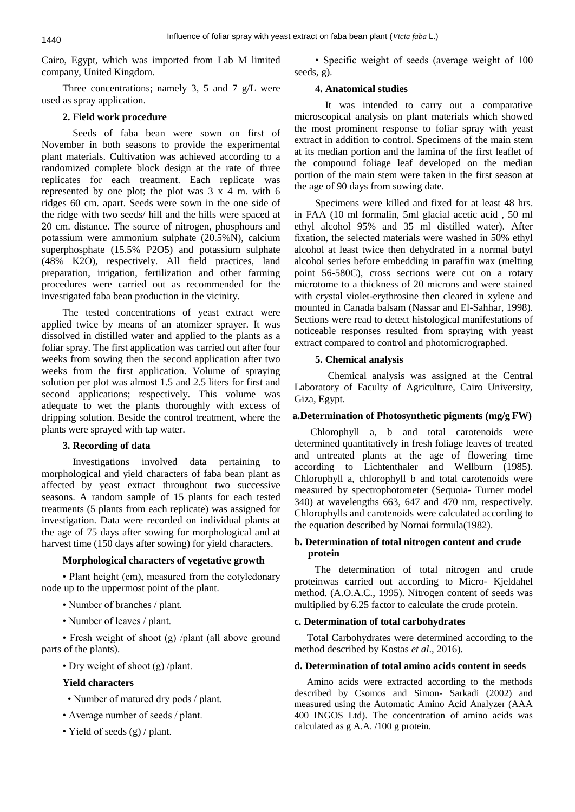Cairo, Egypt, which was imported from Lab M limited company, United Kingdom.

Three concentrations; namely 3, 5 and 7 g/L were used as spray application.

### **2. Field work procedure**

 Seeds of faba bean were sown on first of November in both seasons to provide the experimental plant materials. Cultivation was achieved according to a randomized complete block design at the rate of three replicates for each treatment. Each replicate was represented by one plot; the plot was 3 x 4 m. with 6 ridges 60 cm. apart. Seeds were sown in the one side of the ridge with two seeds/ hill and the hills were spaced at 20 cm. distance. The source of nitrogen, phosphours and potassium were ammonium sulphate (20.5%N), calcium superphosphate (15.5% P2O5) and potassium sulphate (48% K2O), respectively. All field practices, land preparation, irrigation, fertilization and other farming procedures were carried out as recommended for the investigated faba bean production in the vicinity.

The tested concentrations of yeast extract were applied twice by means of an atomizer sprayer. It was dissolved in distilled water and applied to the plants as a foliar spray. The first application was carried out after four weeks from sowing then the second application after two weeks from the first application. Volume of spraying solution per plot was almost 1.5 and 2.5 liters for first and second applications; respectively. This volume was adequate to wet the plants thoroughly with excess of dripping solution. Beside the control treatment, where the plants were sprayed with tap water.

## **3. Recording of data**

 Investigations involved data pertaining to morphological and yield characters of faba bean plant as affected by yeast extract throughout two successive seasons. A random sample of 15 plants for each tested treatments (5 plants from each replicate) was assigned for investigation. Data were recorded on individual plants at the age of 75 days after sowing for morphological and at harvest time (150 days after sowing) for yield characters.

## **Morphological characters of vegetative growth**

• Plant height (cm), measured from the cotyledonary node up to the uppermost point of the plant.

- Number of branches / plant.
- Number of leaves / plant.

• Fresh weight of shoot (g) /plant (all above ground parts of the plants).

• Dry weight of shoot (g) /plant.

## **Yield characters**

- Number of matured dry pods / plant.
- Average number of seeds / plant.
- Yield of seeds (g) / plant.

• Specific weight of seeds (average weight of 100 seeds, g).

## **4. Anatomical studies**

 It was intended to carry out a comparative microscopical analysis on plant materials which showed the most prominent response to foliar spray with yeast extract in addition to control. Specimens of the main stem at its median portion and the lamina of the first leaflet of the compound foliage leaf developed on the median portion of the main stem were taken in the first season at the age of 90 days from sowing date.

Specimens were killed and fixed for at least 48 hrs. in FAA (10 ml formalin, 5ml glacial acetic acid , 50 ml ethyl alcohol 95% and 35 ml distilled water). After fixation, the selected materials were washed in 50% ethyl alcohol at least twice then dehydrated in a normal butyl alcohol series before embedding in paraffin wax (melting point 56-580C), cross sections were cut on a rotary microtome to a thickness of 20 microns and were stained with crystal violet-erythrosine then cleared in xylene and mounted in Canada balsam (Nassar and El-Sahhar, 1998). Sections were read to detect histological manifestations of noticeable responses resulted from spraying with yeast extract compared to control and photomicrographed.

## **5. Chemical analysis**

 Chemical analysis was assigned at the Central Laboratory of Faculty of Agriculture, Cairo University, Giza, Egypt.

## **a.Determination of Photosynthetic pigments (mg/g FW)**

Chlorophyll a, b and total carotenoids were determined quantitatively in fresh foliage leaves of treated and untreated plants at the age of flowering time according to Lichtenthaler and Wellburn (1985). Chlorophyll a, chlorophyll b and total carotenoids were measured by spectrophotometer (Sequoia- Turner model 340) at wavelengths 663, 647 and 470 nm, respectively. Chlorophylls and carotenoids were calculated according to the equation described by Nornai formula(1982).

## **b. Determination of total nitrogen content and crude protein**

The determination of total nitrogen and crude proteinwas carried out according to Micro- Kjeldahel method. (A.O.A.C., 1995). Nitrogen content of seeds was multiplied by 6.25 factor to calculate the crude protein.

### **c. Determination of total carbohydrates**

Total Carbohydrates were determined according to the method described by Kostas *et al*., 2016).

## **d. Determination of total amino acids content in seeds**

 Amino acids were extracted according to the methods described by Csomos and Simon- Sarkadi (2002) and measured using the Automatic Amino Acid Analyzer (AAA 400 INGOS Ltd). The concentration of amino acids was calculated as g A.A. /100 g protein.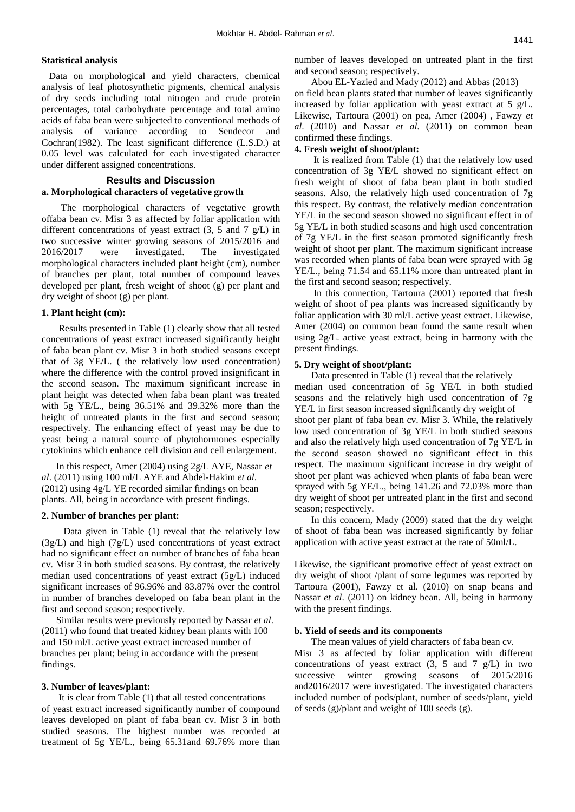#### **Statistical analysis**

 Data on morphological and yield characters, chemical analysis of leaf photosynthetic pigments, chemical analysis of dry seeds including total nitrogen and crude protein percentages, total carbohydrate percentage and total amino acids of faba bean were subjected to conventional methods of analysis of variance according to Sendecor and Cochran(1982). The least significant difference (L.S.D.) at 0.05 level was calculated for each investigated character under different assigned concentrations.

### **Results and Discussion**

### **a. Morphological characters of vegetative growth**

 The morphological characters of vegetative growth offaba bean cv. Misr 3 as affected by foliar application with different concentrations of yeast extract (3, 5 and 7 g/L) in two successive winter growing seasons of 2015/2016 and 2016/2017 were investigated. The investigated morphological characters included plant height (cm), number of branches per plant, total number of compound leaves developed per plant, fresh weight of shoot (g) per plant and dry weight of shoot (g) per plant.

### **1. Plant height (cm):**

 Results presented in Table (1) clearly show that all tested concentrations of yeast extract increased significantly height of faba bean plant cv. Misr 3 in both studied seasons except that of 3g YE/L. ( the relatively low used concentration) where the difference with the control proved insignificant in the second season. The maximum significant increase in plant height was detected when faba bean plant was treated with 5g YE/L., being 36.51% and 39.32% more than the height of untreated plants in the first and second season; respectively. The enhancing effect of yeast may be due to yeast being a natural source of phytohormones especially cytokinins which enhance cell division and cell enlargement.

 In this respect, Amer (2004) using 2g/L AYE, Nassar *et al*. (2011) using 100 ml/L AYE and Abdel-Hakim *et al*. (2012) using 4g/L YE recorded similar findings on bean plants. All, being in accordance with present findings.

#### **2. Number of branches per plant:**

 Data given in Table (1) reveal that the relatively low (3g/L) and high (7g/L) used concentrations of yeast extract had no significant effect on number of branches of faba bean cv. Misr 3 in both studied seasons. By contrast, the relatively median used concentrations of yeast extract (5g/L) induced significant increases of 96.96% and 83.87% over the control in number of branches developed on faba bean plant in the first and second season; respectively.

 Similar results were previously reported by Nassar *et al*. (2011) who found that treated kidney bean plants with 100 and 150 ml/L active yeast extract increased number of branches per plant; being in accordance with the present findings.

#### **3. Number of leaves/plant:**

 It is clear from Table (1) that all tested concentrations of yeast extract increased significantly number of compound leaves developed on plant of faba bean cv. Misr 3 in both studied seasons. The highest number was recorded at treatment of 5g YE/L., being 65.31and 69.76% more than number of leaves developed on untreated plant in the first and second season; respectively.

 Abou EL-Yazied and Mady (2012) and Abbas (2013) on field bean plants stated that number of leaves significantly increased by foliar application with yeast extract at 5 g/L. Likewise, Tartoura (2001) on pea, Amer (2004) , Fawzy *et al*. (2010) and Nassar *et al*. (2011) on common bean confirmed these findings.

### **4. Fresh weight of shoot/plant:**

 It is realized from Table (1) that the relatively low used concentration of 3g YE/L showed no significant effect on fresh weight of shoot of faba bean plant in both studied seasons. Also, the relatively high used concentration of 7g this respect. By contrast, the relatively median concentration YE/L in the second season showed no significant effect in of 5g YE/L in both studied seasons and high used concentration of 7g YE/L in the first season promoted significantly fresh weight of shoot per plant. The maximum significant increase was recorded when plants of faba bean were sprayed with 5g YE/L., being 71.54 and 65.11% more than untreated plant in the first and second season; respectively.

 In this connection, Tartoura (2001) reported that fresh weight of shoot of pea plants was increased significantly by foliar application with 30 ml/L active yeast extract. Likewise, Amer (2004) on common bean found the same result when using 2g/L. active yeast extract, being in harmony with the present findings.

#### **5. Dry weight of shoot/plant:**

 Data presented in Table (1) reveal that the relatively median used concentration of 5g YE/L in both studied seasons and the relatively high used concentration of 7g YE/L in first season increased significantly dry weight of shoot per plant of faba bean cv. Misr 3. While, the relatively low used concentration of 3g YE/L in both studied seasons and also the relatively high used concentration of 7g YE/L in the second season showed no significant effect in this respect. The maximum significant increase in dry weight of shoot per plant was achieved when plants of faba bean were sprayed with 5g YE/L., being 141.26 and 72.03% more than dry weight of shoot per untreated plant in the first and second season; respectively.

 In this concern, Mady (2009) stated that the dry weight of shoot of faba bean was increased significantly by foliar application with active yeast extract at the rate of 50ml/L.

Likewise, the significant promotive effect of yeast extract on dry weight of shoot /plant of some legumes was reported by Tartoura (2001), Fawzy et al. (2010) on snap beans and Nassar *et al*. (2011) on kidney bean. All, being in harmony with the present findings.

#### **b. Yield of seeds and its components**

 The mean values of yield characters of faba bean cv. Misr 3 as affected by foliar application with different concentrations of yeast extract  $(3, 5 \text{ and } 7 \text{ g/L})$  in two successive winter growing seasons of 2015/2016 and2016/2017 were investigated. The investigated characters included number of pods/plant, number of seeds/plant, yield of seeds (g)/plant and weight of 100 seeds (g).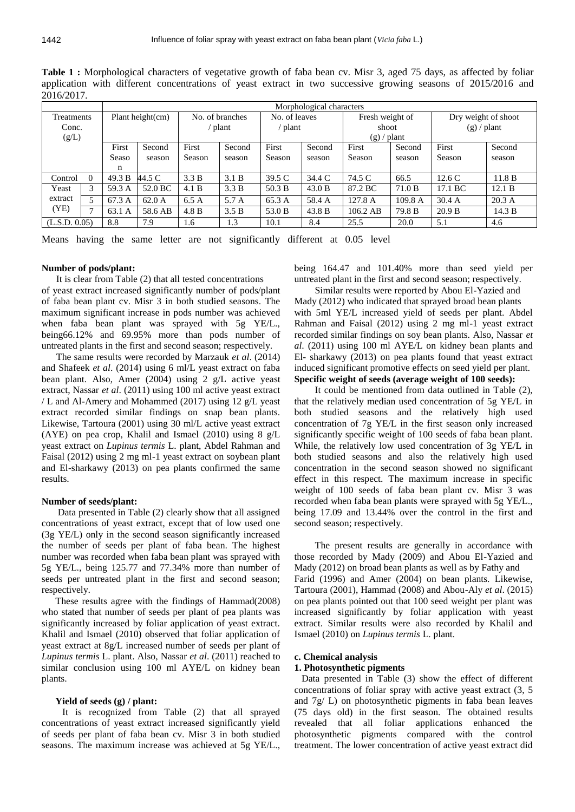|               |          |                     | Morphological characters |                 |        |               |        |                 |         |                     |        |
|---------------|----------|---------------------|--------------------------|-----------------|--------|---------------|--------|-----------------|---------|---------------------|--------|
| Treatments    |          | Plant height $(cm)$ |                          | No. of branches |        | No. of leaves |        | Fresh weight of |         | Dry weight of shoot |        |
| Conc.         |          |                     |                          | plant           |        | plant         |        | shoot           |         | $(g)$ / plant       |        |
| (g/L)         |          |                     |                          |                 |        |               |        | $(g)$ / plant   |         |                     |        |
|               |          | First               | Second                   | First           | Second | First         | Second | First           | Second  | First               | Second |
|               |          | Seaso               | season                   | Season          | season | Season        | season | Season          | season  | Season              | season |
|               |          | n                   |                          |                 |        |               |        |                 |         |                     |        |
| Control       | $\Omega$ | 49.3 B              | 44.5 C                   | 3.3 B           | 3.1 B  | 39.5 C        | 34.4 C | 74.5 C          | 66.5    | 12.6C               | 11.8 B |
| Yeast         | 3        | 59.3 A              | 52.0 BC                  | 4.1 B           | 3.3 B  | 50.3 B        | 43.0 B | 87.2 BC         | 71.0 B  | 17.1 BC             | 12.1 B |
| extract       |          | 67.3 A              | 62.0 A                   | 6.5A            | 5.7 A  | 65.3 A        | 58.4 A | 127.8 A         | 109.8 A | 30.4 A              | 20.3 A |
| (YE)          | -        | 63.1 A              | 58.6 AB                  | 4.8 B           | 3.5 B  | 53.0 B        | 43.8 B | $106.2$ AB      | 79.8 B  | 20.9 B              | 14.3 B |
| (L.S.D. 0.05) |          | 8.8                 | 7.9                      | 1.6             | 1.3    | 10.1          | 8.4    | 25.5            | 20.0    | 5.1                 | 4.6    |

**Table 1 :** Morphological characters of vegetative growth of faba bean cv. Misr 3, aged 75 days, as affected by foliar application with different concentrations of yeast extract in two successive growing seasons of 2015/2016 and 2016/2017.

Means having the same letter are not significantly different at 0.05 level

### **Number of pods/plant:**

It is clear from Table (2) that all tested concentrations

of yeast extract increased significantly number of pods/plant of faba bean plant cv. Misr 3 in both studied seasons. The maximum significant increase in pods number was achieved when faba bean plant was sprayed with 5g YE/L., being66.12% and 69.95% more than pods number of untreated plants in the first and second season; respectively.

 The same results were recorded by Marzauk *et al*. (2014) and Shafeek *et al*. (2014) using 6 ml/L yeast extract on faba bean plant. Also, Amer (2004) using 2 g/L active yeast extract, Nassar *et al*. (2011) using 100 ml active yeast extract / L and Al-Amery and Mohammed (2017) using 12 g/L yeast extract recorded similar findings on snap bean plants. Likewise, Tartoura (2001) using 30 ml/L active yeast extract (AYE) on pea crop, Khalil and Ismael (2010) using 8 g/L yeast extract on *Lupinus termis* L. plant, Abdel Rahman and Faisal (2012) using 2 mg ml-1 yeast extract on soybean plant and El-sharkawy (2013) on pea plants confirmed the same results.

### **Number of seeds/plant:**

Data presented in Table (2) clearly show that all assigned concentrations of yeast extract, except that of low used one (3g YE/L) only in the second season significantly increased the number of seeds per plant of faba bean. The highest number was recorded when faba bean plant was sprayed with 5g YE/L., being 125.77 and 77.34% more than number of seeds per untreated plant in the first and second season; respectively.

These results agree with the findings of Hammad(2008) who stated that number of seeds per plant of pea plants was significantly increased by foliar application of yeast extract. Khalil and Ismael (2010) observed that foliar application of yeast extract at 8g/L increased number of seeds per plant of *Lupinus termis* L. plant. Also, Nassar *et al*. (2011) reached to similar conclusion using 100 ml AYE/L on kidney bean plants.

### **Yield of seeds (g) / plant:**

It is recognized from Table (2) that all sprayed concentrations of yeast extract increased significantly yield of seeds per plant of faba bean cv. Misr 3 in both studied seasons. The maximum increase was achieved at 5g YE/L., being 164.47 and 101.40% more than seed yield per untreated plant in the first and second season; respectively.

Similar results were reported by Abou El-Yazied and Mady (2012) who indicated that sprayed broad bean plants with 5ml YE/L increased yield of seeds per plant. Abdel Rahman and Faisal (2012) using 2 mg ml-1 yeast extract recorded similar findings on soy bean plants. Also, Nassar *et al*. (2011) using 100 ml AYE/L on kidney bean plants and El- sharkawy (2013) on pea plants found that yeast extract induced significant promotive effects on seed yield per plant. **Specific weight of seeds (average weight of 100 seeds):**

It could be mentioned from data outlined in Table (2), that the relatively median used concentration of 5g YE/L in both studied seasons and the relatively high used concentration of 7g YE/L in the first season only increased significantly specific weight of 100 seeds of faba bean plant. While, the relatively low used concentration of 3g YE/L in both studied seasons and also the relatively high used concentration in the second season showed no significant effect in this respect. The maximum increase in specific weight of 100 seeds of faba bean plant cv. Misr 3 was recorded when faba bean plants were sprayed with 5g YE/L., being 17.09 and 13.44% over the control in the first and second season; respectively.

The present results are generally in accordance with those recorded by Mady (2009) and Abou El-Yazied and Mady (2012) on broad bean plants as well as by Fathy and Farid (1996) and Amer (2004) on bean plants. Likewise, Tartoura (2001), Hammad (2008) and Abou-Aly *et al*. (2015) on pea plants pointed out that 100 seed weight per plant was increased significantly by foliar application with yeast extract. Similar results were also recorded by Khalil and Ismael (2010) on *Lupinus termis* L. plant.

#### **c. Chemical analysis**

### **1. Photosynthetic pigments**

 Data presented in Table (3) show the effect of different concentrations of foliar spray with active yeast extract (3, 5 and 7g/ L) on photosynthetic pigments in faba bean leaves (75 days old) in the first season. The obtained results revealed that all foliar applications enhanced the photosynthetic pigments compared with the control treatment. The lower concentration of active yeast extract did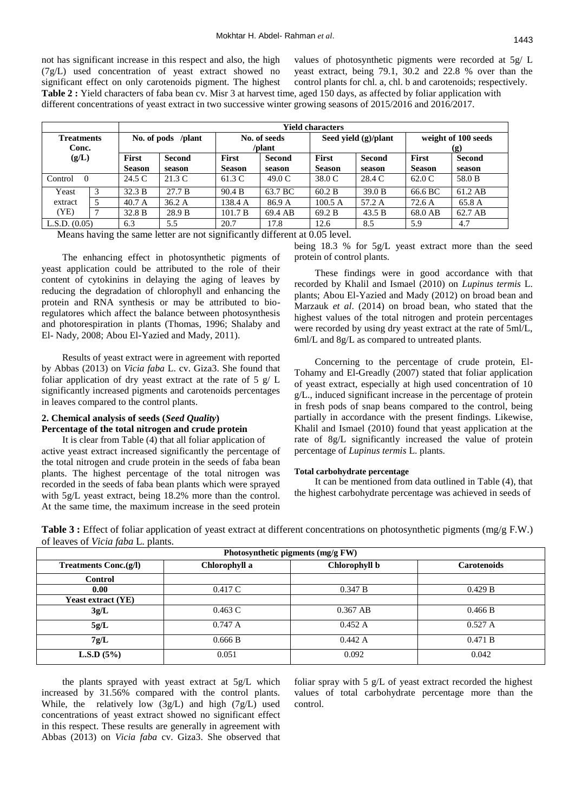not has significant increase in this respect and also, the high (7g/L) used concentration of yeast extract showed no significant effect on only carotenoids pigment. The highest **Table 2 :** Yield characters of faba bean cv. Misr 3 at harvest time, aged 150 days, as affected by foliar application with different concentrations of yeast extract in two successive winter growing seasons of 2015/2016 and 2016/2017.

values of photosynthetic pigments were recorded at 5g/ L yeast extract, being 79.1, 30.2 and 22.8 % over than the control plants for chl. a, chl. b and carotenoids; respectively.

|                     |              |               | <b>Yield characters</b> |                        |               |                      |        |                            |               |
|---------------------|--------------|---------------|-------------------------|------------------------|---------------|----------------------|--------|----------------------------|---------------|
| <b>Treatments</b>   |              |               | No. of pods /plant      | No. of seeds<br>/plant |               | Seed yield (g)/plant |        | weight of 100 seeds<br>(g) |               |
| Conc.               |              |               |                         |                        |               |                      |        |                            |               |
| (g/L)               |              | <b>First</b>  | <b>Second</b>           | <b>First</b>           | <b>Second</b> | First                | Second | <b>First</b>               | <b>Second</b> |
|                     |              | <b>Season</b> | season                  | <b>Season</b>          | season        | <b>Season</b>        | season | <b>Season</b>              | season        |
| Control<br>$\theta$ |              | 24.5 C        | 21.3 C                  | 61.3 C                 | 49.0C         | 38.0 C               | 28.4 C | 62.0 C                     | 58.0 B        |
| Yeast               | 3            | 32.3 B        | 27.7 B                  | 90.4 B                 | 63.7 BC       | 60.2 B               | 39.0 B | 66.6 BC                    | 61.2 AB       |
| extract             | 5            | 40.7 A        | 36.2A                   | 138.4 A                | 86.9 A        | 100.5A               | 57.2 A | 72.6A                      | 65.8 A        |
| (YE)                | $\mathbf{r}$ | 32.8 B        | 28.9 B                  | 101.7 B                | 69.4 AB       | 69.2 B               | 43.5 B | 68.0 AB                    | 62.7 AB       |
| L.S.D. (0.05)       |              | 6.3           | 5.5                     | 20.7                   | 17.8          | 12.6                 | 8.5    | 5.9                        | 4.7           |

Means having the same letter are not significantly different at 0.05 level.

The enhancing effect in photosynthetic pigments of yeast application could be attributed to the role of their content of cytokinins in delaying the aging of leaves by reducing the degradation of chlorophyll and enhancing the protein and RNA synthesis or may be attributed to bioregulatores which affect the balance between photosynthesis and photorespiration in plants (Thomas, 1996; Shalaby and El- Nady, 2008; Abou El-Yazied and Mady, 2011).

Results of yeast extract were in agreement with reported by Abbas (2013) on *Vicia faba* L. cv. Giza3. She found that foliar application of dry yeast extract at the rate of  $5 \text{ g}/L$ significantly increased pigments and carotenoids percentages in leaves compared to the control plants.

## **2. Chemical analysis of seeds (***Seed Quality***) Percentage of the total nitrogen and crude protein**

It is clear from Table (4) that all foliar application of active yeast extract increased significantly the percentage of the total nitrogen and crude protein in the seeds of faba bean plants. The highest percentage of the total nitrogen was recorded in the seeds of faba bean plants which were sprayed with 5g/L yeast extract, being 18.2% more than the control. At the same time, the maximum increase in the seed protein

being 18.3 % for 5g/L yeast extract more than the seed protein of control plants.

These findings were in good accordance with that recorded by Khalil and Ismael (2010) on *Lupinus termis* L. plants; Abou El-Yazied and Mady (2012) on broad bean and Marzauk *et al*. (2014) on broad bean, who stated that the highest values of the total nitrogen and protein percentages were recorded by using dry yeast extract at the rate of 5ml/L, 6ml/L and 8g/L as compared to untreated plants.

Concerning to the percentage of crude protein, El-Tohamy and El-Greadly (2007) stated that foliar application of yeast extract, especially at high used concentration of 10 g/L., induced significant increase in the percentage of protein in fresh pods of snap beans compared to the control, being partially in accordance with the present findings. Likewise, Khalil and Ismael (2010) found that yeast application at the rate of 8g/L significantly increased the value of protein percentage of *Lupinus termis* L. plants.

#### **Total carbohydrate percentage**

It can be mentioned from data outlined in Table (4), that the highest carbohydrate percentage was achieved in seeds of

**Table 3 :** Effect of foliar application of yeast extract at different concentrations on photosynthetic pigments (mg/g F.W.) of leaves of *Vicia faba* L. plants.

| Photosynthetic pigments (mg/g FW) |                    |            |         |  |  |  |  |
|-----------------------------------|--------------------|------------|---------|--|--|--|--|
| <b>Treatments Conc.(g/l)</b>      | <b>Carotenoids</b> |            |         |  |  |  |  |
| Control                           |                    |            |         |  |  |  |  |
| 0.00                              | 0.417C             | 0.347 B    | 0.429 B |  |  |  |  |
| <b>Yeast extract (YE)</b>         |                    |            |         |  |  |  |  |
| 3g/L                              | $0.463$ C          | $0.367$ AB | 0.466 B |  |  |  |  |
| 5g/L                              | 0.747 A            | 0.452 A    | 0.527 A |  |  |  |  |
| 7g/L                              | 0.666B             | 0.442 A    | 0.471 B |  |  |  |  |
| <b>L.S.D</b> $(5\%)$              | 0.051              | 0.092      | 0.042   |  |  |  |  |

the plants sprayed with yeast extract at 5g/L which increased by 31.56% compared with the control plants. While, the relatively low (3g/L) and high (7g/L) used concentrations of yeast extract showed no significant effect in this respect. These results are generally in agreement with Abbas (2013) on *Vicia faba* cv. Giza3. She observed that foliar spray with  $5 \text{ g/L}$  of yeast extract recorded the highest values of total carbohydrate percentage more than the control.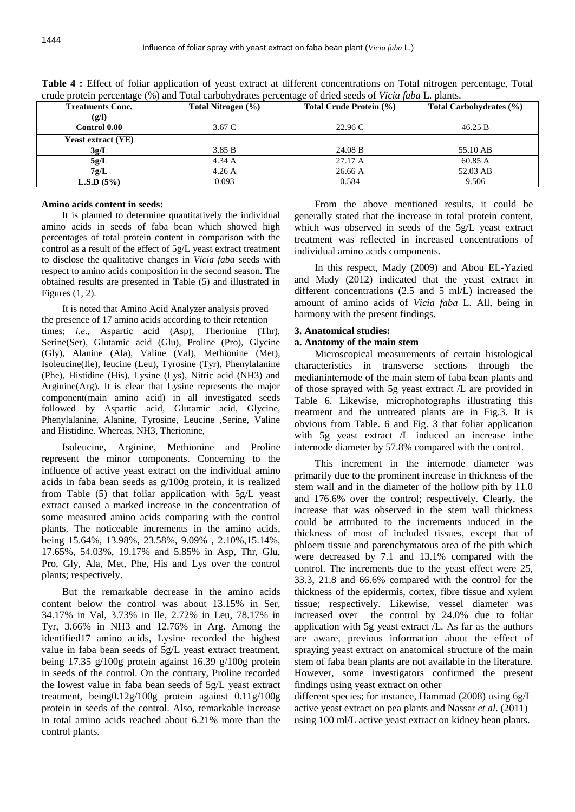| <b>Treatments Conc.</b>   | Total Nitrogen (%) | Total Crude Protein (%) | Total Carbohydrates (%) |
|---------------------------|--------------------|-------------------------|-------------------------|
| (g/l)                     |                    |                         |                         |
| <b>Control 0.00</b>       | 3.67 C             | 22.96C                  | 46.25 B                 |
| <b>Yeast extract (YE)</b> |                    |                         |                         |
| 3g/L                      | 3.85 B             | 24.08 B                 | 55.10 AB                |
| 5g/L                      | $4.34 \text{ A}$   | 27.17 A                 | 60.85 A                 |
| 7g/L                      | $4.26\,\mathrm{A}$ | 26.66 A                 | 52.03 AB                |
| <b>L.S.D</b> $(5\%)$      | 0.093              | 0.584                   | 9.506                   |

**Table 4 :** Effect of foliar application of yeast extract at different concentrations on Total nitrogen percentage, Total crude protein percentage (%) and Total carbohydrates percentage of dried seeds of *Vicia faba* L. plants.

### **Amino acids content in seeds:**

It is planned to determine quantitatively the individual amino acids in seeds of faba bean which showed high percentages of total protein content in comparison with the control as a result of the effect of 5g/L yeast extract treatment to disclose the qualitative changes in *Vicia faba* seeds with respect to amino acids composition in the second season. The obtained results are presented in Table (5) and illustrated in Figures (1, 2).

It is noted that Amino Acid Analyzer analysis proved the presence of 17 amino acids according to their retention times; *i.e*., Aspartic acid (Asp), Therionine (Thr), Serine(Ser), Glutamic acid (Glu), Proline (Pro), Glycine (Gly), Alanine (Ala), Valine (Val), Methionine (Met), Isoleucine(Ile), leucine (Leu), Tyrosine (Tyr), Phenylalanine (Phe), Histidine (His), Lysine (Lys), Nitric acid (NH3) and Arginine(Arg). It is clear that Lysine represents the major component(main amino acid) in all investigated seeds followed by Aspartic acid, Glutamic acid, Glycine, Phenylalanine, Alanine, Tyrosine, Leucine ,Serine, Valine and Histidine. Whereas, NH3, Therionine,

Isoleucine, Arginine, Methionine and Proline represent the minor components. Concerning to the influence of active yeast extract on the individual amino acids in faba bean seeds as g/100g protein, it is realized from Table (5) that foliar application with 5g/L yeast extract caused a marked increase in the concentration of some measured amino acids comparing with the control plants. The noticeable increments in the amino acids, being 15.64%, 13.98%, 23.58%, 9.09% , 2.10%,15.14%, 17.65%, 54.03%, 19.17% and 5.85% in Asp, Thr, Glu, Pro, Gly, Ala, Met, Phe, His and Lys over the control plants; respectively.

But the remarkable decrease in the amino acids content below the control was about 13.15% in Ser, 34.17% in Val, 3.73% in Ile, 2.72% in Leu, 78.17% in Tyr, 3.66% in NH3 and 12.76% in Arg. Among the identified17 amino acids, Lysine recorded the highest value in faba bean seeds of 5g/L yeast extract treatment, being 17.35 g/100g protein against 16.39 g/100g protein in seeds of the control. On the contrary, Proline recorded the lowest value in faba bean seeds of 5g/L yeast extract treatment, being0.12g/100g protein against 0.11g/100g protein in seeds of the control. Also, remarkable increase in total amino acids reached about 6.21% more than the control plants.

From the above mentioned results, it could be generally stated that the increase in total protein content, which was observed in seeds of the 5g/L yeast extract treatment was reflected in increased concentrations of individual amino acids components.

In this respect, Mady (2009) and Abou EL-Yazied and Mady (2012) indicated that the yeast extract in different concentrations (2.5 and 5 ml/L) increased the amount of amino acids of *Vicia faba* L. All, being in harmony with the present findings.

### **3. Anatomical studies:**

### **a. Anatomy of the main stem**

Microscopical measurements of certain histological characteristics in transverse sections through the medianinternode of the main stem of faba bean plants and of those sprayed with 5g yeast extract /L are provided in Table 6. Likewise, microphotographs illustrating this treatment and the untreated plants are in Fig.3. It is obvious from Table. 6 and Fig. 3 that foliar application with 5g yeast extract /L induced an increase inthe internode diameter by 57.8% compared with the control.

This increment in the internode diameter was primarily due to the prominent increase in thickness of the stem wall and in the diameter of the hollow pith by 11.0 and 176.6% over the control; respectively. Clearly, the increase that was observed in the stem wall thickness could be attributed to the increments induced in the thickness of most of included tissues, except that of phloem tissue and parenchymatous area of the pith which were decreased by 7.1 and 13.1% compared with the control. The increments due to the yeast effect were 25, 33.3, 21.8 and 66.6% compared with the control for the thickness of the epidermis, cortex, fibre tissue and xylem tissue; respectively. Likewise, vessel diameter was increased over the control by 24.0% due to foliar application with 5g yeast extract /L. As far as the authors are aware, previous information about the effect of spraying yeast extract on anatomical structure of the main stem of faba bean plants are not available in the literature. However, some investigators confirmed the present findings using yeast extract on other

different species; for instance, Hammad (2008) using 6g/L active yeast extract on pea plants and Nassar *et al*. (2011) using 100 ml/L active yeast extract on kidney bean plants.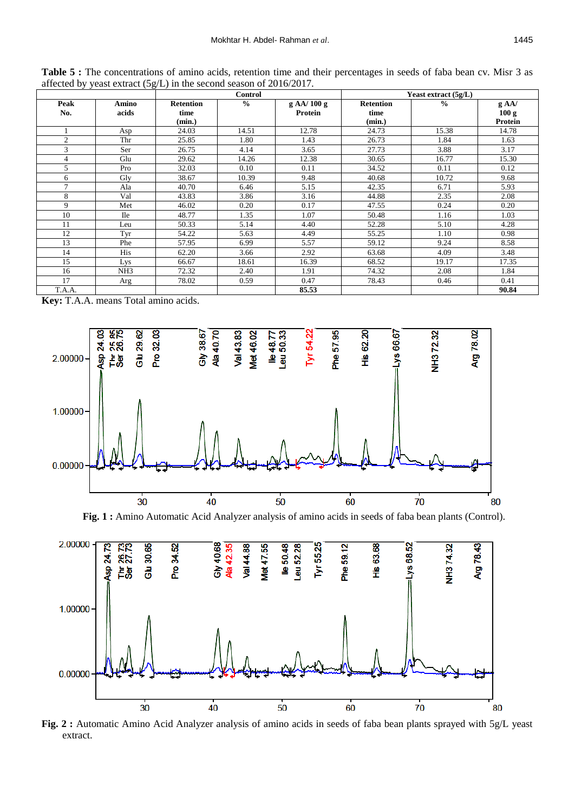|                |                 |                  | <b>Control</b> |            | Yeast extract $(5g/L)$ |               |                |  |
|----------------|-----------------|------------------|----------------|------------|------------------------|---------------|----------------|--|
| Peak           | Amino           | <b>Retention</b> | $\frac{0}{0}$  | g AA/100 g | <b>Retention</b>       | $\frac{0}{0}$ | $g$ AA/        |  |
| No.            | acids           | time             |                | Protein    | time                   |               | 100 g          |  |
|                |                 | (min.)           |                |            | (min.)                 |               | <b>Protein</b> |  |
|                | Asp             | 24.03            | 14.51          | 12.78      | 24.73                  | 15.38         | 14.78          |  |
| $\overline{c}$ | Thr             | 25.85            | 1.80           | 1.43       | 26.73                  | 1.84          | 1.63           |  |
| 3              | Ser             | 26.75            | 4.14           | 3.65       | 27.73                  | 3.88          | 3.17           |  |
| 4              | Glu             | 29.62            | 14.26          | 12.38      | 30.65                  | 16.77         | 15.30          |  |
| 5              | Pro             | 32.03            | 0.10           | 0.11       | 34.52                  | 0.11          | 0.12           |  |
| 6              | Gly             | 38.67            | 10.39          | 9.48       | 40.68                  | 10.72         | 9.68           |  |
| 7              | Ala             | 40.70            | 6.46           | 5.15       | 42.35                  | 6.71          | 5.93           |  |
| 8              | Val             | 43.83            | 3.86           | 3.16       | 44.88                  | 2.35          | 2.08           |  |
| 9              | Met             | 46.02            | 0.20           | 0.17       | 47.55                  | 0.24          | 0.20           |  |
| 10             | <b>Ile</b>      | 48.77            | 1.35           | 1.07       | 50.48                  | 1.16          | 1.03           |  |
| 11             | Leu             | 50.33            | 5.14           | 4.40       | 52.28                  | 5.10          | 4.28           |  |
| 12             | Tyr             | 54.22            | 5.63           | 4.49       | 55.25                  | 1.10          | 0.98           |  |
| 13             | Phe             | 57.95            | 6.99           | 5.57       | 59.12                  | 9.24          | 8.58           |  |
| 14             | His             | 62.20            | 3.66           | 2.92       | 63.68                  | 4.09          | 3.48           |  |
| 15             | Lys             | 66.67            | 18.61          | 16.39      | 68.52                  | 19.17         | 17.35          |  |
| 16             | NH <sub>3</sub> | 72.32            | 2.40           | 1.91       | 74.32                  | 2.08          | 1.84           |  |
| 17             | Arg             | 78.02            | 0.59           | 0.47       | 78.43                  | 0.46          | 0.41           |  |
| T.A.A.         |                 |                  |                | 85.53      |                        |               | 90.84          |  |

Table 5 : The concentrations of amino acids, retention time and their percentages in seeds of faba bean cv. Misr 3 as affected by yeast extract (5g/L) in the second season of 2016/2017.

**Key:** T.A.A. means Total amino acids.



**Fig. 1 :** Amino Automatic Acid Analyzer analysis of amino acids in seeds of faba bean plants (Control).



**Fig. 2 :** Automatic Amino Acid Analyzer analysis of amino acids in seeds of faba bean plants sprayed with 5g/L yeast extract.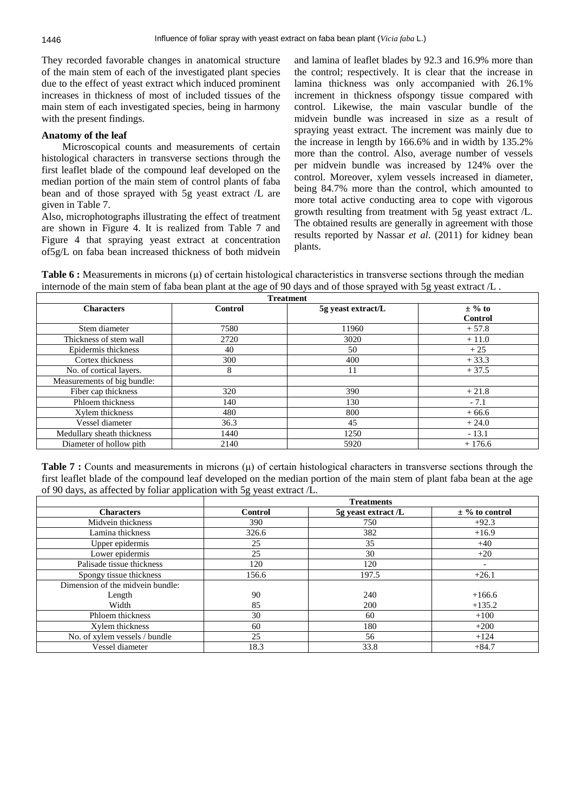They recorded favorable changes in anatomical structure of the main stem of each of the investigated plant species due to the effect of yeast extract which induced prominent increases in thickness of most of included tissues of the main stem of each investigated species, being in harmony with the present findings.

### **Anatomy of the leaf**

Microscopical counts and measurements of certain histological characters in transverse sections through the first leaflet blade of the compound leaf developed on the median portion of the main stem of control plants of faba bean and of those sprayed with 5g yeast extract /L are given in Table 7.

Also, microphotographs illustrating the effect of treatment are shown in Figure 4. It is realized from Table 7 and Figure 4 that spraying yeast extract at concentration of5g/L on faba bean increased thickness of both midvein and lamina of leaflet blades by 92.3 and 16.9% more than the control; respectively. It is clear that the increase in lamina thickness was only accompanied with 26.1% increment in thickness ofspongy tissue compared with control. Likewise, the main vascular bundle of the midvein bundle was increased in size as a result of spraying yeast extract. The increment was mainly due to the increase in length by 166.6% and in width by 135.2% more than the control. Also, average number of vessels per midvein bundle was increased by 124% over the control. Moreover, xylem vessels increased in diameter, being 84.7% more than the control, which amounted to more total active conducting area to cope with vigorous growth resulting from treatment with 5g yeast extract /L. The obtained results are generally in agreement with those results reported by Nassar *et al*. (2011) for kidney bean plants.

**Table 6 :** Measurements in microns (μ) of certain histological characteristics in transverse sections through the median internode of the main stem of faba bean plant at the age of 90 days and of those sprayed with 5g yeast extract /L .

| <b>Treatment</b>            |         |                    |                |  |  |  |
|-----------------------------|---------|--------------------|----------------|--|--|--|
| <b>Characters</b>           | Control | 5g yeast extract/L | $\pm$ % to     |  |  |  |
|                             |         |                    | <b>Control</b> |  |  |  |
| Stem diameter               | 7580    | 11960              | $+57.8$        |  |  |  |
| Thickness of stem wall      | 2720    | 3020               | $+11.0$        |  |  |  |
| Epidermis thickness         | 40      | 50                 | $+25$          |  |  |  |
| Cortex thickness            | 300     | 400                | $+33.3$        |  |  |  |
| No. of cortical layers.     | 8       | 11                 | $+37.5$        |  |  |  |
| Measurements of big bundle: |         |                    |                |  |  |  |
| Fiber cap thickness         | 320     | 390                | $+21.8$        |  |  |  |
| Phloem thickness            | 140     | 130                | $-7.1$         |  |  |  |
| Xylem thickness             | 480     | 800                | $+66.6$        |  |  |  |
| Vessel diameter             | 36.3    | 45                 | $+24.0$        |  |  |  |
| Medullary sheath thickness  | 1440    | 1250               | $-13.1$        |  |  |  |
| Diameter of hollow pith     | 2140    | 5920               | $+176.6$       |  |  |  |

**Table 7 :** Counts and measurements in microns (μ) of certain histological characters in transverse sections through the first leaflet blade of the compound leaf developed on the median portion of the main stem of plant faba bean at the age of 90 days, as affected by foliar application with 5g yeast extract /L.

|                                  | <b>Treatments</b> |                     |                          |  |  |  |
|----------------------------------|-------------------|---------------------|--------------------------|--|--|--|
| <b>Characters</b>                | Control           | 5g yeast extract /L | $\pm$ % to control       |  |  |  |
| Midvein thickness                | 390               | 750                 | $+92.3$                  |  |  |  |
| Lamina thickness                 | 326.6             | 382                 | $+16.9$                  |  |  |  |
| Upper epidermis                  | 25                | 35                  | $+40$                    |  |  |  |
| Lower epidermis                  | 25                | 30                  | $+20$                    |  |  |  |
| Palisade tissue thickness        | 120               | 120                 | $\overline{\phantom{a}}$ |  |  |  |
| Spongy tissue thickness          | 156.6             | 197.5               | $+26.1$                  |  |  |  |
| Dimension of the midvein bundle: |                   |                     |                          |  |  |  |
| Length                           | 90                | 240                 | $+166.6$                 |  |  |  |
| Width                            | 85                | 200                 | $+135.2$                 |  |  |  |
| Phloem thickness                 | 30                | 60                  | $+100$                   |  |  |  |
| Xylem thickness                  | 60                | 180                 | $+200$                   |  |  |  |
| No. of xylem vessels / bundle    | 25                | 56                  | $+124$                   |  |  |  |
| Vessel diameter                  | 18.3              | 33.8                | $+84.7$                  |  |  |  |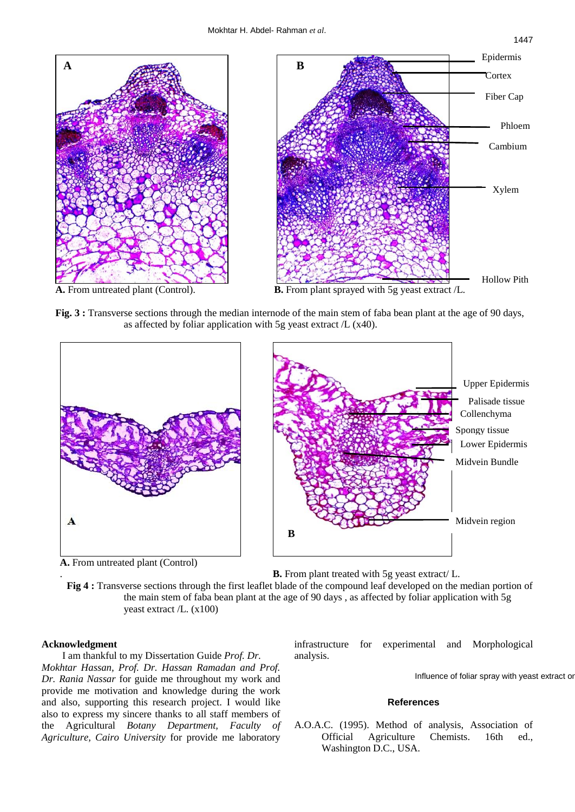

**Fig. 3 :** Transverse sections through the median internode of the main stem of faba bean plant at the age of 90 days, as affected by foliar application with 5g yeast extract /L (x40).







. **B.** From plant treated with 5g yeast extract/ L.

 **Fig 4 :** Transverse sections through the first leaflet blade of the compound leaf developed on the median portion of the main stem of faba bean plant at the age of 90 days , as affected by foliar application with 5g yeast extract /L. (x100)

## **Acknowledgment**

I am thankful to my Dissertation Guide *Prof. Dr.*

*Mokhtar Hassan, Prof. Dr. Hassan Ramadan and Prof. Dr. Rania Nassar* for guide me throughout my work and provide me motivation and knowledge during the work and also, supporting this research project. I would like also to express my sincere thanks to all staff members of the Agricultural *Botany Department, Faculty of Agriculture, Cairo University* for provide me laboratory

infrastructure for experimental and Morphological analysis.

Influence of foliar spray with yeast extract or

## **References**

A.O.A.C. (1995). Method of analysis, Association of Official Agriculture Chemists. 16th ed., Washington D.C., USA.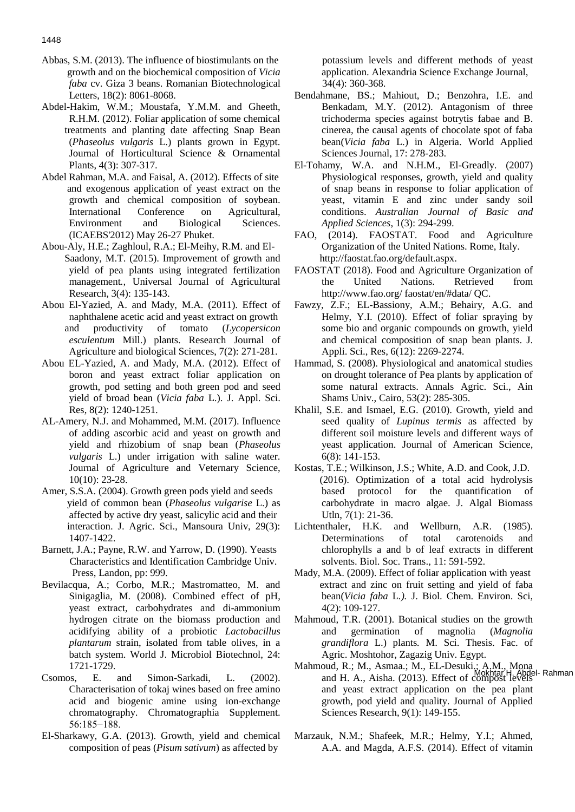- Abbas, S.M. (2013). The influence of biostimulants on the growth and on the biochemical composition of *Vicia faba* cv. Giza 3 beans. Romanian Biotechnological Letters, 18(2): 8061-8068.
- Abdel-Hakim, W.M.; Moustafa, Y.M.M. and Gheeth, R.H.M. (2012). Foliar application of some chemical treatments and planting date affecting Snap Bean (*Phaseolus vulgaris* L.) plants grown in Egypt. Journal of Horticultural Science & Ornamental Plants, 4(3): 307-317.
- Abdel Rahman, M.A. and Faisal, A. (2012). Effects of site and exogenous application of yeast extract on the growth and chemical composition of soybean. International Conference on Agricultural, Environment and Biological Sciences. (ICAEBS'2012) May 26-27 Phuket.
- Abou-Aly, H.E.; Zaghloul, R.A.; El-Meihy, R.M. and El- Saadony, M.T. (2015). Improvement of growth and yield of pea plants using integrated fertilization management*.,* Universal Journal of Agricultural Research, 3(4): 135-143.
- Abou El-Yazied, A. and Mady, M.A. (2011). Effect of naphthalene acetic acid and yeast extract on growth and productivity of tomato (*Lycopersicon esculentum* Mill.) plants. Research Journal of Agriculture and biological Sciences, 7(2): 271-281.
- Abou EL-Yazied, A. and Mady, M.A. (2012). Effect of boron and yeast extract foliar application on growth, pod setting and both green pod and seed yield of broad bean (*Vicia faba* L.). J. Appl. Sci. Res, 8(2): 1240-1251.
- AL-Amery, N.J. and Mohammed, M.M. (2017). Influence of adding ascorbic acid and yeast on growth and yield and rhizobium of snap bean (*Phaseolus vulgaris* L.) under irrigation with saline water. Journal of Agriculture and Veternary Science, 10(10): 23-28.
- Amer, S.S.A. (2004). Growth green pods yield and seeds yield of common bean (*Phaseolus vulgarise* L.) as affected by active dry yeast, salicylic acid and their interaction. J. Agric. Sci., Mansoura Univ, 29(3): 1407-1422.
- Barnett, J.A.; Payne, R.W. and Yarrow, D. (1990). Yeasts Characteristics and Identification Cambridge Univ. Press, Landon, pp: 999.
- Bevilacqua, A.; Corbo, M.R.; Mastromatteo, M. and Sinigaglia, M. (2008). Combined effect of pH, yeast extract, carbohydrates and di-ammonium hydrogen citrate on the biomass production and acidifying ability of a probiotic *Lactobacillus plantarum* strain, isolated from table olives, in a batch system. World J. Microbiol Biotechnol, 24: 1721-1729.
- Csomos, E. and Simon-Sarkadi, L. (2002). Characterisation of tokaj wines based on free amino acid and biogenic amine using ion-exchange chromatography. Chromatographia Supplement. 56:185−188.
- El-Sharkawy, G.A. (2013). Growth, yield and chemical composition of peas (*Pisum sativum*) as affected by

 potassium levels and different methods of yeast application. Alexandria Science Exchange Journal, 34(4): 360-368.

- Bendahmane, BS.; Mahiout, D.; Benzohra, I.E. and Benkadam, M.Y. (2012). Antagonism of three trichoderma species against botrytis fabae and B. cinerea, the causal agents of chocolate spot of faba bean(*Vicia faba* L.) in Algeria. World Applied Sciences Journal, 17: 278-283.
- El-Tohamy, W.A. and N.H.M., El-Greadly. (2007) Physiological responses, growth, yield and quality of snap beans in response to foliar application of yeast, vitamin E and zinc under sandy soil conditions. *Australian Journal of Basic and Applied Sciences*, 1(3): 294-299.
- FAO, (2014). FAOSTAT. Food and Agriculture Organization of the United Nations. Rome, Italy. http://faostat.fao.org/default.aspx.
- FAOSTAT (2018). Food and Agriculture Organization of the United Nations. Retrieved from http://www.fao.org/ faostat/en/#data/ QC.
- Fawzy, Z.F.; EL-Bassiony, A.M.; Behairy, A.G. and Helmy, Y.I. (2010). Effect of foliar spraying by some bio and organic compounds on growth, yield and chemical composition of snap bean plants. J. Appli. Sci., Res, 6(12): 2269-2274.
- Hammad, S. (2008). Physiological and anatomical studies on drought tolerance of Pea plants by application of some natural extracts. Annals Agric. Sci., Ain Shams Univ., Cairo, 53(2): 285-305.
- Khalil, S.E. and Ismael, E.G. (2010). Growth, yield and seed quality of *Lupinus termis* as affected by different soil moisture levels and different ways of yeast application. Journal of American Science, 6(8): 141-153.
- Kostas, T.E.; Wilkinson, J.S.; White, A.D. and Cook, J.D. (2016). Optimization of a total acid hydrolysis based protocol for the quantification of carbohydrate in macro algae. J. Algal Biomass Utln, 7(1): 21-36.
- Lichtenthaler, H.K. and Wellburn, A.R. (1985). Determinations of total carotenoids and chlorophylls a and b of leaf extracts in different solvents. Biol. Soc. Trans., 11: 591-592.
- Mady, M.A. (2009). Effect of foliar application with yeast extract and zinc on fruit setting and yield of faba bean(*Vicia faba* L*.).* J. Biol. Chem. Environ. Sci, 4(2): 109-127.
- Mahmoud, T.R. (2001). Botanical studies on the growth and germination of magnolia (*Magnolia grandiflora* L.) plants*.* M. Sci. Thesis. Fac. of Agric. Moshtohor, Zagazig Univ. Egypt.
- Mahmoud, R.; M., Asmaa.; M., EL-Desuki.; A.M., Mona and H. A., Aisha. (2013). Effect of compost levels Rahman and H. A., Aisha. (2013). Effect of compost levels and yeast extract application on the pea plant growth, pod yield and quality. Journal of Applied Sciences Research, 9(1): 149-155.
- Marzauk, N.M.; Shafeek, M.R.; Helmy, Y.I.; Ahmed, A.A. and Magda, A.F.S. (2014). Effect of vitamin